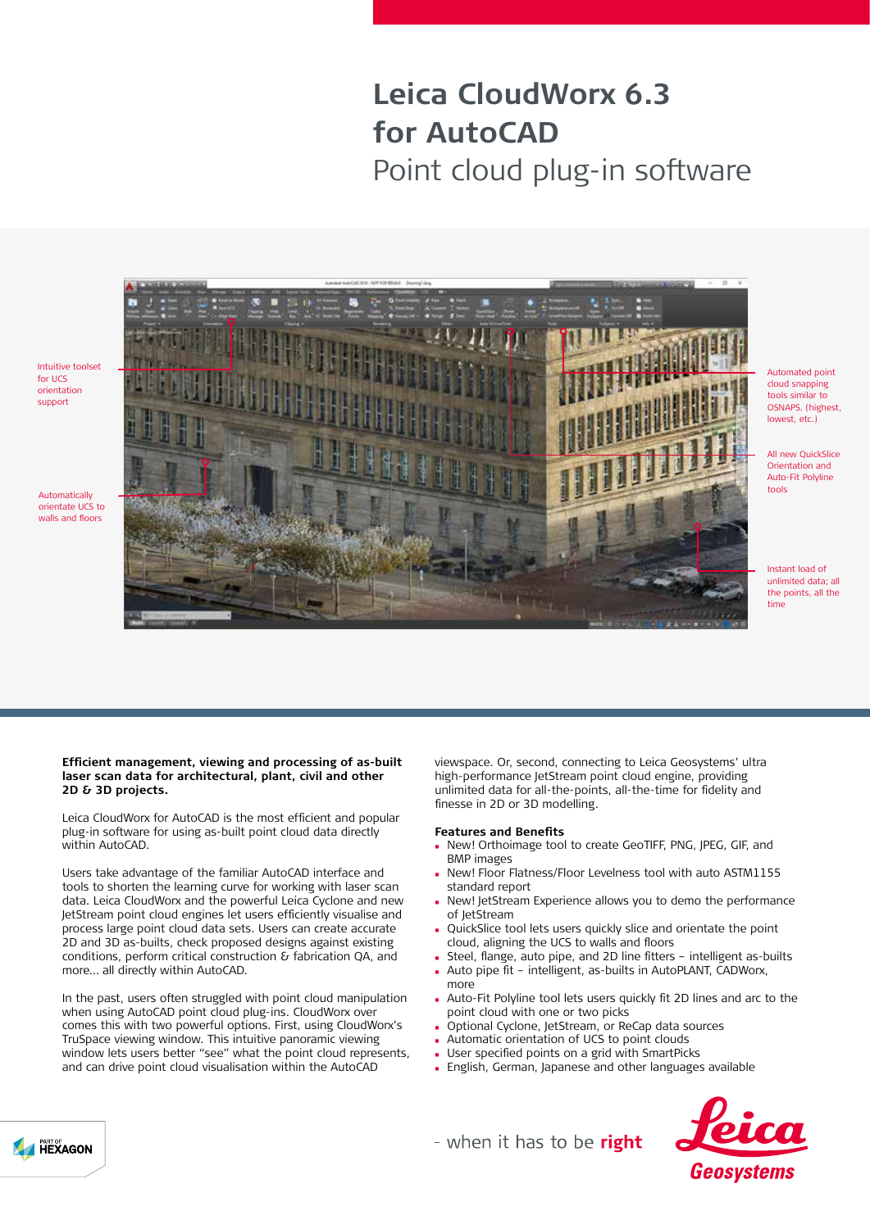# **Leica CloudWorx 6.3 for AutoCAD** Point cloud plug-in software



Automated point cloud snapping tools similar to OSNAPS. (highest lowest, etc.)

All new QuickSlice Orientation and Auto-Fit Polyline tools

Instant load of unlimited data; all the points, all the time

#### **Efficient management, viewing and processing of as-built laser scan data for architectural, plant, civil and other 2D & 3D projects.**

Leica CloudWorx for AutoCAD is the most efficient and popular plug-in software for using as-built point cloud data directly within AutoCAD.

Users take advantage of the familiar AutoCAD interface and tools to shorten the learning curve for working with laser scan data. Leica CloudWorx and the powerful Leica Cyclone and new JetStream point cloud engines let users efficiently visualise and process large point cloud data sets. Users can create accurate 2D and 3D as-builts, check proposed designs against existing conditions, perform critical construction & fabrication QA, and more… all directly within AutoCAD.

In the past, users often struggled with point cloud manipulation when using AutoCAD point cloud plug-ins. CloudWorx over comes this with two powerful options. First, using CloudWorx's TruSpace viewing window. This intuitive panoramic viewing window lets users better "see" what the point cloud represents. and can drive point cloud visualisation within the AutoCAD

viewspace. Or, second, connecting to Leica Geosystems' ultra high-performance JetStream point cloud engine, providing unlimited data for all-the-points, all-the-time for fidelity and finesse in 2D or 3D modelling.

#### **Features and Benefits**

- <sup>n</sup> New! Orthoimage tool to create GeoTIFF, PNG, JPEG, GIF, and BMP images
- New! Floor Flatness/Floor Levelness tool with auto ASTM1155 standard report
- New! JetStream Experience allows you to demo the performance of JetStream
- QuickSlice tool lets users quickly slice and orientate the point cloud, aligning the UCS to walls and floors
- Steel, flange, auto pipe, and 2D line fitters intelligent as-builts
- Auto pipe fit intelligent, as-builts in AutoPLANT, CADWorx, more
- Auto-Fit Polyline tool lets users quickly fit 2D lines and arc to the point cloud with one or two picks
- Optional Cyclone, JetStream, or ReCap data sources
- Automatic orientation of UCS to point clouds
- User specified points on a grid with SmartPicks
- <sup>n</sup> English, German, Japanese and other languages available



- when it has to be right



for UCS orientation support